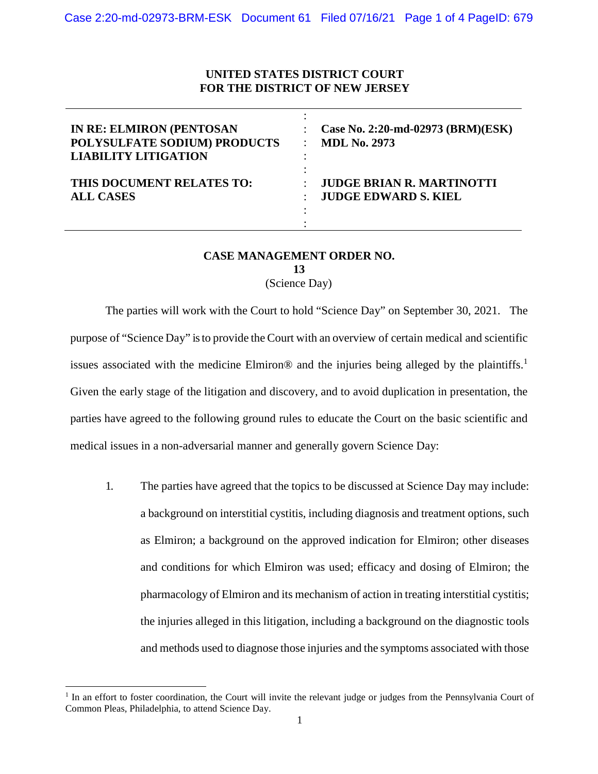## **UNITED STATES DISTRICT COURT FOR THE DISTRICT OF NEW JERSEY**

| <b>IN RE: ELMIRON (PENTOSAN</b><br>POLYSULFATE SODIUM) PRODUCTS<br><b>LIABILITY LITIGATION</b> | Case No. 2:20-md-02973 (BRM)(ESK)<br><b>MDL No. 2973</b> |
|------------------------------------------------------------------------------------------------|----------------------------------------------------------|
| THIS DOCUMENT RELATES TO:                                                                      | <b>JUDGE BRIAN R. MARTINOTTI</b>                         |
| <b>ALL CASES</b>                                                                               | <b>JUDGE EDWARD S. KIEL</b>                              |

## **CASE MANAGEMENT ORDER NO. 13**

(Science Day)

The parties will work with the Court to hold "Science Day" on September 30, 2021. The purpose of "Science Day" is to provide the Court with an overview of certain medical and scientific issues associated with the medicine Elmiron® and the injuries being alleged by the plaintiffs.<sup>1</sup> Given the early stage of the litigation and discovery, and to avoid duplication in presentation, the parties have agreed to the following ground rules to educate the Court on the basic scientific and medical issues in a non-adversarial manner and generally govern Science Day:

1. The parties have agreed that the topics to be discussed at Science Day may include: a background on interstitial cystitis, including diagnosis and treatment options, such as Elmiron; a background on the approved indication for Elmiron; other diseases and conditions for which Elmiron was used; efficacy and dosing of Elmiron; the pharmacology of Elmiron and its mechanism of action in treating interstitial cystitis; the injuries alleged in this litigation, including a background on the diagnostic tools and methods used to diagnose those injuries and the symptoms associated with those

<u>.</u>

<sup>&</sup>lt;sup>1</sup> In an effort to foster coordination, the Court will invite the relevant judge or judges from the Pennsylvania Court of Common Pleas, Philadelphia, to attend Science Day.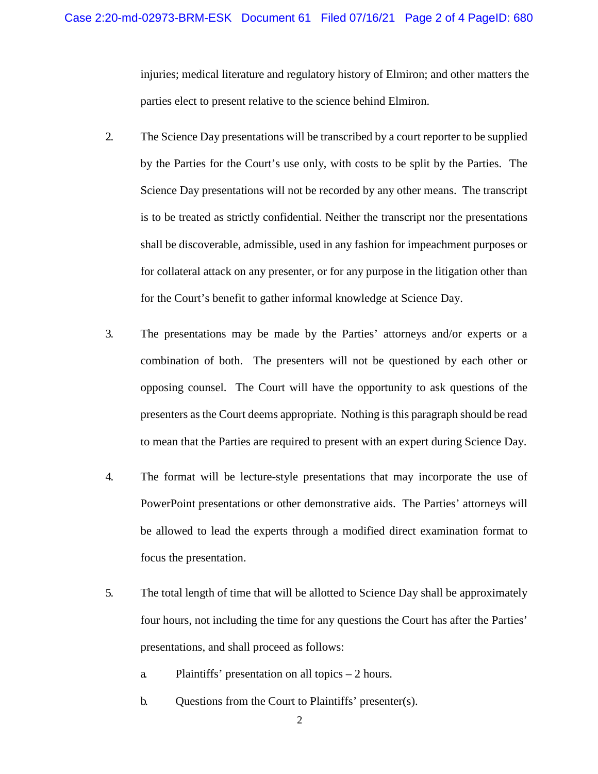injuries; medical literature and regulatory history of Elmiron; and other matters the parties elect to present relative to the science behind Elmiron.

- 2. The Science Day presentations will be transcribed by a court reporter to be supplied by the Parties for the Court's use only, with costs to be split by the Parties. The Science Day presentations will not be recorded by any other means. The transcript is to be treated as strictly confidential. Neither the transcript nor the presentations shall be discoverable, admissible, used in any fashion for impeachment purposes or for collateral attack on any presenter, or for any purpose in the litigation other than for the Court's benefit to gather informal knowledge at Science Day.
- 3. The presentations may be made by the Parties' attorneys and/or experts or a combination of both. The presenters will not be questioned by each other or opposing counsel. The Court will have the opportunity to ask questions of the presenters as the Court deems appropriate. Nothing is this paragraph should be read to mean that the Parties are required to present with an expert during Science Day.
- 4. The format will be lecture-style presentations that may incorporate the use of PowerPoint presentations or other demonstrative aids. The Parties' attorneys will be allowed to lead the experts through a modified direct examination format to focus the presentation.
- 5. The total length of time that will be allotted to Science Day shall be approximately four hours, not including the time for any questions the Court has after the Parties' presentations, and shall proceed as follows:
	- a. Plaintiffs' presentation on all topics 2 hours.
	- b. Questions from the Court to Plaintiffs' presenter(s).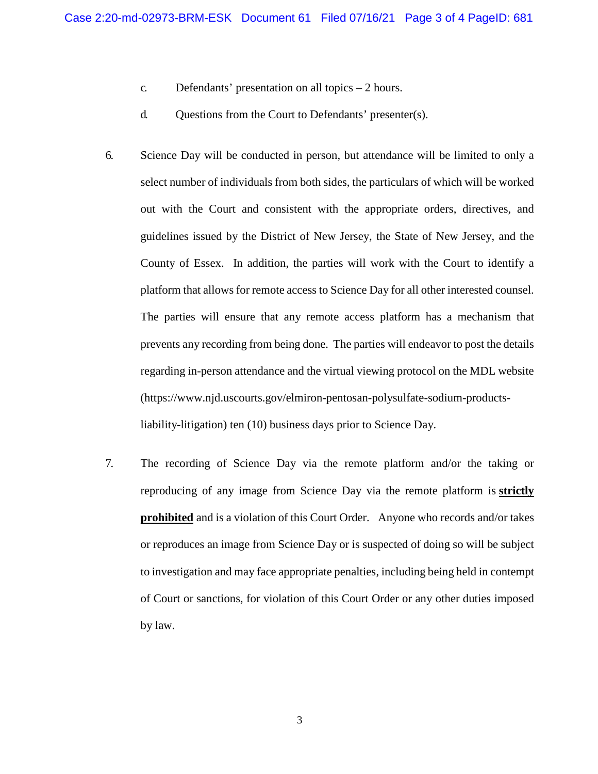- c. Defendants' presentation on all topics 2 hours.
- d. Questions from the Court to Defendants' presenter(s).
- 6. Science Day will be conducted in person, but attendance will be limited to only a select number of individuals from both sides, the particulars of which will be worked out with the Court and consistent with the appropriate orders, directives, and guidelines issued by the District of New Jersey, the State of New Jersey, and the County of Essex. In addition, the parties will work with the Court to identify a platform that allows for remote access to Science Day for all other interested counsel. The parties will ensure that any remote access platform has a mechanism that prevents any recording from being done. The parties will endeavor to post the details regarding in-person attendance and the virtual viewing protocol on the MDL website (https://www.njd.uscourts.gov/elmiron-pentosan-polysulfate-sodium-productsliability-litigation) ten (10) business days prior to Science Day.
- 7. The recording of Science Day via the remote platform and/or the taking or reproducing of any image from Science Day via the remote platform is **strictly prohibited** and is a violation of this Court Order. Anyone who records and/or takes or reproduces an image from Science Day or is suspected of doing so will be subject to investigation and may face appropriate penalties, including being held in contempt of Court or sanctions, for violation of this Court Order or any other duties imposed by law.